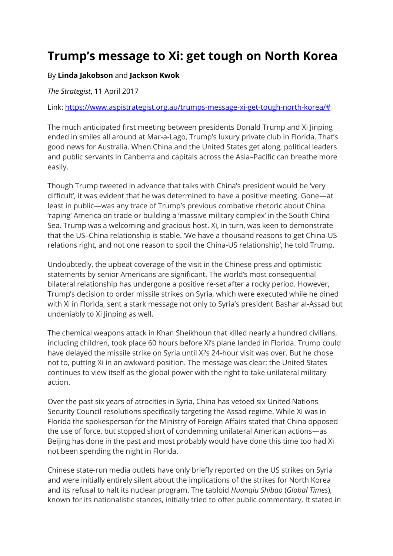## **Trump's message to Xi: get tough on North Korea**

## By **[Linda Jakobson](https://www.aspistrategist.org.au/author/linda-jakobson/)** and **[Jackson Kwok](https://www.aspistrategist.org.au/author/jackson-kwok/)**

*The Strategist*, 11 April 2017

Link: [https://www.aspistrategist.org.au/trumps-message-xi-get-tough-north-korea/#](https://www.aspistrategist.org.au/trumps-message-xi-get-tough-north-korea/)

The much anticipated first meeting between presidents Donald Trump and Xi Jinping ended in smiles all around at Mar-a-Lago, Trump's luxury private club in Florida. That's good news for Australia. When China and the United States get along, political leaders and public servants in Canberra and capitals across the Asia–Pacific can breathe more easily.

Though Trump tweeted in advance that talks with China's president would be 'very difficult', it was evident that he was determined to have a positive meeting. Gone—at least in public—was any trace of Trump's previous combative rhetoric about China 'raping' America on trade or building a 'massive military complex' in the South China Sea. Trump was a welcoming and gracious host. Xi, in turn, was keen to demonstrate that the US–China relationship is stable. 'We have a thousand reasons to get China-US relations right, and not one reason to spoil the China-US relationship', he told Trump.

Undoubtedly, the upbeat coverage of the visit in the Chinese press and optimistic statements by senior Americans are significant. The world's most consequential bilateral relationship has undergone a positive re-set after a rocky period. However, Trump's decision to order missile strikes on Syria, which were executed while he dined with Xi in Florida, sent a stark message not only to Syria's president Bashar al-Assad but undeniably to Xi Jinping as well.

The chemical weapons attack in Khan Sheikhoun that killed nearly a hundred civilians, including children, took place 60 hours before Xi's plane landed in Florida. Trump could have delayed the missile strike on Syria until Xi's 24-hour visit was over. But he chose not to, putting Xi in an awkward position. The message was clear: the United States continues to view itself as the global power with the right to take unilateral military action.

Over the past six years of atrocities in Syria, China has vetoed six United Nations Security Council resolutions specifically targeting the Assad regime. While Xi was in Florida the spokesperson for the Ministry of Foreign Affairs stated that China opposed the use of force, but stopped short of condemning unilateral American actions—as Beijing has done in the past and most probably would have done this time too had Xi not been spending the night in Florida.

Chinese state-run media outlets have only briefly reported on the US strikes on Syria and were initially entirely silent about the implications of the strikes for North Korea and its refusal to halt its nuclear program. The tabloid *Huanqiu Shibao* (*Global Times*), known for its nationalistic stances, initially tried to offer public commentary. It stated in